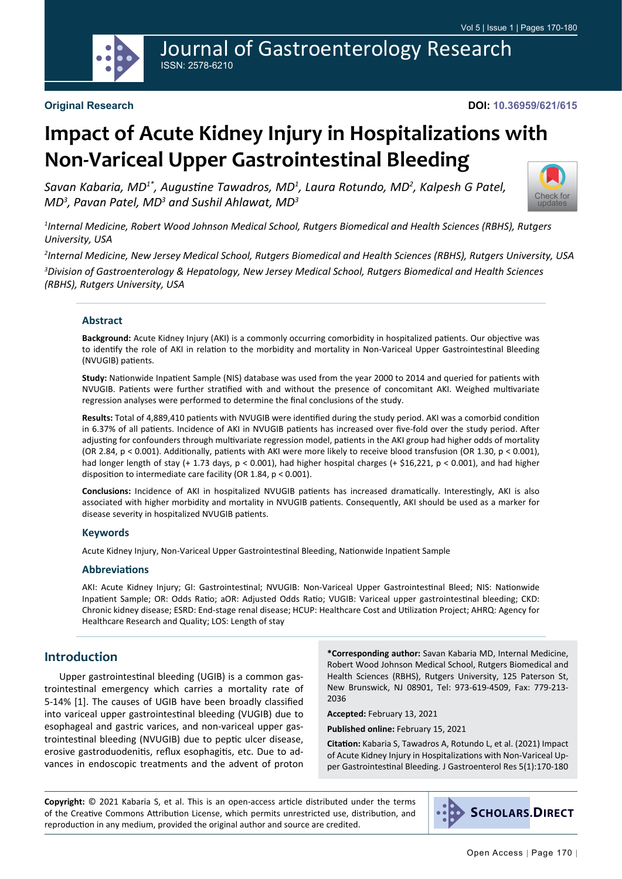

#### **DOI: 10.36959/621/615**

# **Impact of Acute Kidney Injury in Hospitalizations with Non-Variceal Upper Gastrointestinal Bleeding**

*Savan Kabaria, MD1\*, Augustine Tawadros, MD<sup>1</sup> , Laura Rotundo, MD<sup>2</sup> , Kalpesh G Patel, MD3 , Pavan Patel, MD<sup>3</sup> and Sushil Ahlawat, MD<sup>3</sup>*



*1 Internal Medicine, Robert Wood Johnson Medical School, Rutgers Biomedical and Health Sciences (RBHS), Rutgers University, USA*

*2 Internal Medicine, New Jersey Medical School, Rutgers Biomedical and Health Sciences (RBHS), Rutgers University, USA*

*3 Division of Gastroenterology & Hepatology, New Jersey Medical School, Rutgers Biomedical and Health Sciences (RBHS), Rutgers University, USA*

#### **Abstract**

**Background:** Acute Kidney Injury (AKI) is a commonly occurring comorbidity in hospitalized patients. Our objective was to identify the role of AKI in relation to the morbidity and mortality in Non-Variceal Upper Gastrointestinal Bleeding (NVUGIB) patients.

**Study:** Nationwide Inpatient Sample (NIS) database was used from the year 2000 to 2014 and queried for patients with NVUGIB. Patients were further stratified with and without the presence of concomitant AKI. Weighed multivariate regression analyses were performed to determine the final conclusions of the study.

**Results:** Total of 4,889,410 patients with NVUGIB were identified during the study period. AKI was a comorbid condition in 6.37% of all patients. Incidence of AKI in NVUGIB patients has increased over five-fold over the study period. After adjusting for confounders through multivariate regression model, patients in the AKI group had higher odds of mortality (OR 2.84, p < 0.001). Additionally, patients with AKI were more likely to receive blood transfusion (OR 1.30, p < 0.001), had longer length of stay (+ 1.73 days, p < 0.001), had higher hospital charges (+ \$16,221, p < 0.001), and had higher disposition to intermediate care facility (OR 1.84, p < 0.001).

**Conclusions:** Incidence of AKI in hospitalized NVUGIB patients has increased dramatically. Interestingly, AKI is also associated with higher morbidity and mortality in NVUGIB patients. Consequently, AKI should be used as a marker for disease severity in hospitalized NVUGIB patients.

#### **Keywords**

Acute Kidney Injury, Non-Variceal Upper Gastrointestinal Bleeding, Nationwide Inpatient Sample

#### **Abbreviations**

AKI: Acute Kidney Injury; GI: Gastrointestinal; NVUGIB: Non-Variceal Upper Gastrointestinal Bleed; NIS: Nationwide Inpatient Sample; OR: Odds Ratio; aOR: Adjusted Odds Ratio; VUGIB: Variceal upper gastrointestinal bleeding; CKD: Chronic kidney disease; ESRD: End-stage renal disease; HCUP: Healthcare Cost and Utilization Project; AHRQ: Agency for Healthcare Research and Quality; LOS: Length of stay

## **Introduction**

Upper gastrointestinal bleeding (UGIB) is a common gastrointestinal emergency which carries a mortality rate of 5-14% [1]. The causes of UGIB have been broadly classified into variceal upper gastrointestinal bleeding (VUGIB) due to esophageal and gastric varices, and non-variceal upper gastrointestinal bleeding (NVUGIB) due to peptic ulcer disease, erosive gastroduodenitis, reflux esophagitis, etc. Due to advances in endoscopic treatments and the advent of proton

**\*Corresponding author:** Savan Kabaria MD, Internal Medicine, Robert Wood Johnson Medical School, Rutgers Biomedical and Health Sciences (RBHS), Rutgers University, 125 Paterson St, New Brunswick, NJ 08901, Tel: 973-619-4509, Fax: 779-213- 2036

**Accepted:** February 13, 2021

**Published online:** February 15, 2021

**Citation:** Kabaria S, Tawadros A, Rotundo L, et al. (2021) Impact of Acute Kidney Injury in Hospitalizations with Non-Variceal Upper Gastrointestinal Bleeding. J Gastroenterol Res 5(1):170-180

**Copyright:** © 2021 Kabaria S, et al. This is an open-access article distributed under the terms of the Creative Commons Attribution License, which permits unrestricted use, distribution, and reproduction in any medium, provided the original author and source are credited.

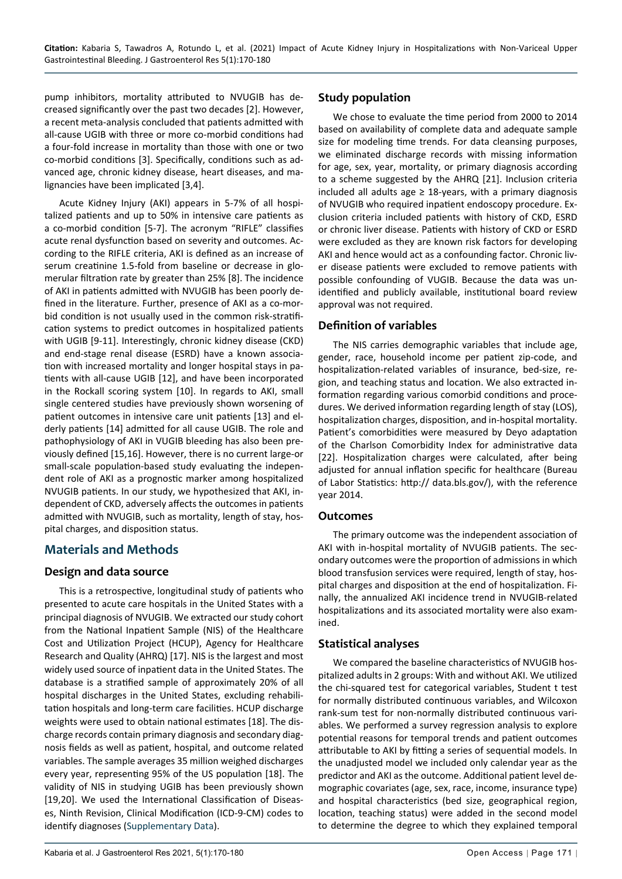pump inhibitors, mortality attributed to NVUGIB has decreased significantly over the past two decades [2]. However, a recent meta-analysis concluded that patients admitted with all-cause UGIB with three or more co-morbid conditions had a four-fold increase in mortality than those with one or two co-morbid conditions [3]. Specifically, conditions such as advanced age, chronic kidney disease, heart diseases, and malignancies have been implicated [3,4].

Acute Kidney Injury (AKI) appears in 5-7% of all hospitalized patients and up to 50% in intensive care patients as a co-morbid condition [5-7]. The acronym "RIFLE" classifies acute renal dysfunction based on severity and outcomes. According to the RIFLE criteria, AKI is defined as an increase of serum creatinine 1.5-fold from baseline or decrease in glomerular filtration rate by greater than 25% [8]. The incidence of AKI in patients admitted with NVUGIB has been poorly defined in the literature. Further, presence of AKI as a co-morbid condition is not usually used in the common risk-stratification systems to predict outcomes in hospitalized patients with UGIB [9-11]. Interestingly, chronic kidney disease (CKD) and end-stage renal disease (ESRD) have a known association with increased mortality and longer hospital stays in patients with all-cause UGIB [12], and have been incorporated in the Rockall scoring system [10]. In regards to AKI, small single centered studies have previously shown worsening of patient outcomes in intensive care unit patients [13] and elderly patients [14] admitted for all cause UGIB. The role and pathophysiology of AKI in VUGIB bleeding has also been previously defined [15,16]. However, there is no current large-or small-scale population-based study evaluating the independent role of AKI as a prognostic marker among hospitalized NVUGIB patients. In our study, we hypothesized that AKI, independent of CKD, adversely affects the outcomes in patients admitted with NVUGIB, such as mortality, length of stay, hospital charges, and disposition status.

## **Materials and Methods**

#### **Design and data source**

This is a retrospective, longitudinal study of patients who presented to acute care hospitals in the United States with a principal diagnosis of NVUGIB. We extracted our study cohort from the National Inpatient Sample (NIS) of the Healthcare Cost and Utilization Project (HCUP), Agency for Healthcare Research and Quality (AHRQ) [17]. NIS is the largest and most widely used source of inpatient data in the United States. The database is a stratified sample of approximately 20% of all hospital discharges in the United States, excluding rehabilitation hospitals and long-term care facilities. HCUP discharge weights were used to obtain national estimates [18]. The discharge records contain primary diagnosis and secondary diagnosis fields as well as patient, hospital, and outcome related variables. The sample averages 35 million weighed discharges every year, representing 95% of the US population [18]. The validity of NIS in studying UGIB has been previously shown [19,20]. We used the International Classification of Diseases, Ninth Revision, Clinical Modification (ICD-9-CM) codes to identify diagnoses [\(Supplementary Data\)](#page-9-0).

## **Study population**

We chose to evaluate the time period from 2000 to 2014 based on availability of complete data and adequate sample size for modeling time trends. For data cleansing purposes, we eliminated discharge records with missing information for age, sex, year, mortality, or primary diagnosis according to a scheme suggested by the AHRQ [21]. Inclusion criteria included all adults age  $\geq$  18-years, with a primary diagnosis of NVUGIB who required inpatient endoscopy procedure. Exclusion criteria included patients with history of CKD, ESRD or chronic liver disease. Patients with history of CKD or ESRD were excluded as they are known risk factors for developing AKI and hence would act as a confounding factor. Chronic liver disease patients were excluded to remove patients with possible confounding of VUGIB. Because the data was unidentified and publicly available, institutional board review approval was not required.

### **Definition of variables**

The NIS carries demographic variables that include age, gender, race, household income per patient zip-code, and hospitalization-related variables of insurance, bed-size, region, and teaching status and location. We also extracted information regarding various comorbid conditions and procedures. We derived information regarding length of stay (LOS), hospitalization charges, disposition, and in-hospital mortality. Patient's comorbidities were measured by Deyo adaptation of the Charlson Comorbidity Index for administrative data [22]. Hospitalization charges were calculated, after being adjusted for annual inflation specific for healthcare (Bureau of Labor Statistics: http:// data.bls.gov/), with the reference year 2014.

#### **Outcomes**

The primary outcome was the independent association of AKI with in-hospital mortality of NVUGIB patients. The secondary outcomes were the proportion of admissions in which blood transfusion services were required, length of stay, hospital charges and disposition at the end of hospitalization. Finally, the annualized AKI incidence trend in NVUGIB-related hospitalizations and its associated mortality were also examined.

#### **Statistical analyses**

We compared the baseline characteristics of NVUGIB hospitalized adults in 2 groups: With and without AKI. We utilized the chi-squared test for categorical variables, Student t test for normally distributed continuous variables, and Wilcoxon rank-sum test for non-normally distributed continuous variables. We performed a survey regression analysis to explore potential reasons for temporal trends and patient outcomes attributable to AKI by fitting a series of sequential models. In the unadjusted model we included only calendar year as the predictor and AKI as the outcome. Additional patient level demographic covariates (age, sex, race, income, insurance type) and hospital characteristics (bed size, geographical region, location, teaching status) were added in the second model to determine the degree to which they explained temporal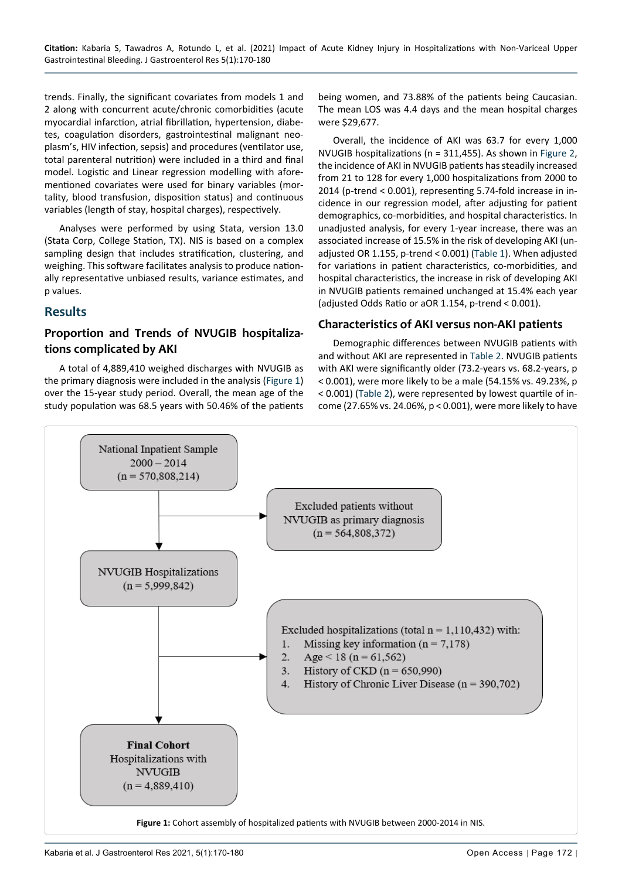trends. Finally, the significant covariates from models 1 and 2 along with concurrent acute/chronic comorbidities (acute myocardial infarction, atrial fibrillation, hypertension, diabetes, coagulation disorders, gastrointestinal malignant neoplasm's, HIV infection, sepsis) and procedures (ventilator use, total parenteral nutrition) were included in a third and final model. Logistic and Linear regression modelling with aforementioned covariates were used for binary variables (mortality, blood transfusion, disposition status) and continuous variables (length of stay, hospital charges), respectively.

Analyses were performed by using Stata, version 13.0 (Stata Corp, College Station, TX). NIS is based on a complex sampling design that includes stratification, clustering, and weighing. This software facilitates analysis to produce nationally representative unbiased results, variance estimates, and p values.

## **Results**

## **Proportion and Trends of NVUGIB hospitalizations complicated by AKI**

A total of 4,889,410 weighed discharges with NVUGIB as the primary diagnosis were included in the analysis ([Figure 1\)](#page-2-0) over the 15-year study period. Overall, the mean age of the study population was 68.5 years with 50.46% of the patients

being women, and 73.88% of the patients being Caucasian. The mean LOS was 4.4 days and the mean hospital charges were \$29,677.

Overall, the incidence of AKI was 63.7 for every 1,000 NVUGIB hospitalizations (n = 311,455). As shown in [Figure 2](#page-3-0), the incidence of AKI in NVUGIB patients has steadily increased from 21 to 128 for every 1,000 hospitalizations from 2000 to 2014 (p-trend < 0.001), representing 5.74-fold increase in incidence in our regression model, after adjusting for patient demographics, co-morbidities, and hospital characteristics. In unadjusted analysis, for every 1-year increase, there was an associated increase of 15.5% in the risk of developing AKI (unadjusted OR 1.155, p-trend < 0.001) ([Table 1](#page-3-1)). When adjusted for variations in patient characteristics, co-morbidities, and hospital characteristics, the increase in risk of developing AKI in NVUGIB patients remained unchanged at 15.4% each year (adjusted Odds Ratio or aOR 1.154, p-trend < 0.001).

## **Characteristics of AKI versus non-AKI patients**

Demographic differences between NVUGIB patients with and without AKI are represented in [Table 2](#page-3-2). NVUGIB patients with AKI were significantly older (73.2-years vs. 68.2-years, p < 0.001), were more likely to be a male (54.15% vs. 49.23%, p < 0.001) ([Table 2](#page-3-2)), were represented by lowest quartile of income (27.65% vs. 24.06%, p < 0.001), were more likely to have

<span id="page-2-0"></span>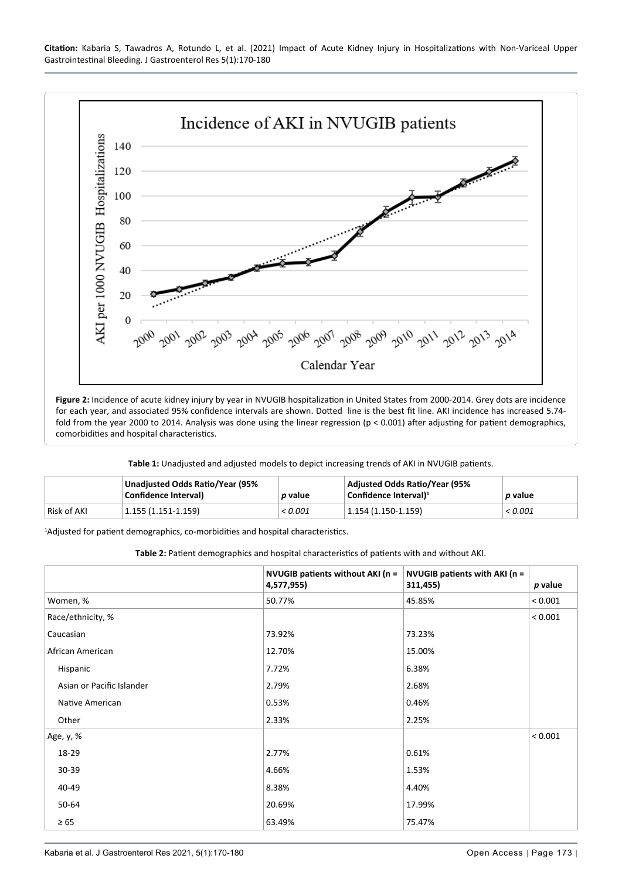<span id="page-3-0"></span>

**Figure 2:** Incidence of acute kidney injury by year in NVUGIB hospitalization in United States from 2000-2014. Grey dots are incidence for each year, and associated 95% confidence intervals are shown. Dotted line is the best fit line. AKI incidence has increased 5.74 fold from the year 2000 to 2014. Analysis was done using the linear regression (p < 0.001) after adjusting for patient demographics, comorbidities and hospital characteristics.

<span id="page-3-1"></span>**Table 1:** Unadjusted and adjusted models to depict increasing trends of AKI in NVUGIB patients.

|             | Unadjusted Odds Ratio/Year (95%<br>Confidence Interval) | p value | Adjusted Odds Ratio/Year (95%<br>Confidence Interval) <sup>1</sup> | <i>p</i> value |
|-------------|---------------------------------------------------------|---------|--------------------------------------------------------------------|----------------|
| Risk of AKI | $1.155(1.151-1.159)$                                    | < 0.001 | $1.154(1.150-1.159)$                                               | < 0.001        |

<sup>1</sup>Adjusted for patient demographics, co-morbidities and hospital characteristics.

<span id="page-3-2"></span>**Table 2:** Patient demographics and hospital characteristics of patients with and without AKI.

|                           | NVUGIB patients without AKI (n =<br>4,577,955) | NVUGIB patients with AKI (n =<br>311,455) | p value |
|---------------------------|------------------------------------------------|-------------------------------------------|---------|
| Women, %                  | 50.77%                                         | 45.85%                                    | < 0.001 |
| Race/ethnicity, %         |                                                |                                           | < 0.001 |
| Caucasian                 | 73.92%                                         | 73.23%                                    |         |
| African American          | 12.70%                                         | 15.00%                                    |         |
| Hispanic                  | 7.72%                                          | 6.38%                                     |         |
| Asian or Pacific Islander | 2.79%                                          | 2.68%                                     |         |
| Native American           | 0.53%                                          | 0.46%                                     |         |
| Other                     | 2.33%                                          | 2.25%                                     |         |
| Age, y, %                 |                                                |                                           | < 0.001 |
| 18-29                     | 2.77%                                          | 0.61%                                     |         |
| 30-39                     | 4.66%                                          | 1.53%                                     |         |
| 40-49                     | 8.38%                                          | 4.40%                                     |         |
| 50-64                     | 20.69%                                         | 17.99%                                    |         |
| $\geq 65$                 | 63.49%                                         | 75.47%                                    |         |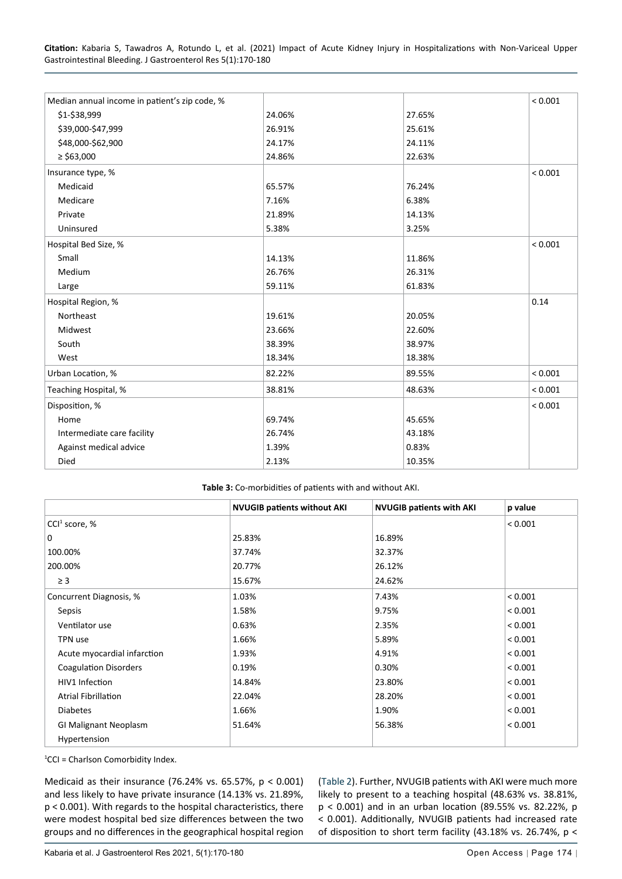**Citation:** Kabaria S, Tawadros A, Rotundo L, et al. (2021) Impact of Acute Kidney Injury in Hospitalizations with Non-Variceal Upper Gastrointestinal Bleeding. J Gastroenterol Res 5(1):170-180

| Median annual income in patient's zip code, % |        |        | < 0.001 |
|-----------------------------------------------|--------|--------|---------|
| \$1-\$38,999                                  | 24.06% | 27.65% |         |
| \$39,000-\$47,999                             | 26.91% | 25.61% |         |
| \$48,000-\$62,900                             | 24.17% | 24.11% |         |
| $\ge$ \$63,000                                | 24.86% | 22.63% |         |
| Insurance type, %                             |        |        | < 0.001 |
| Medicaid                                      | 65.57% | 76.24% |         |
| Medicare                                      | 7.16%  | 6.38%  |         |
| Private                                       | 21.89% | 14.13% |         |
| Uninsured                                     | 5.38%  | 3.25%  |         |
| Hospital Bed Size, %                          |        |        | < 0.001 |
| Small                                         | 14.13% | 11.86% |         |
| Medium                                        | 26.76% | 26.31% |         |
| Large                                         | 59.11% | 61.83% |         |
| Hospital Region, %                            |        |        | 0.14    |
| Northeast                                     | 19.61% | 20.05% |         |
| Midwest                                       | 23.66% | 22.60% |         |
| South                                         | 38.39% | 38.97% |         |
| West                                          | 18.34% | 18.38% |         |
| Urban Location, %                             | 82.22% | 89.55% | < 0.001 |
| Teaching Hospital, %                          | 38.81% | 48.63% | < 0.001 |
| Disposition, %                                |        |        | < 0.001 |
| Home                                          | 69.74% | 45.65% |         |
| Intermediate care facility                    | 26.74% | 43.18% |         |
| Against medical advice                        | 1.39%  | 0.83%  |         |
| Died                                          | 2.13%  | 10.35% |         |

<span id="page-4-0"></span>

|                              | <b>NVUGIB patients without AKI</b> | <b>NVUGIB patients with AKI</b> | p value |
|------------------------------|------------------------------------|---------------------------------|---------|
| CCI <sup>1</sup> score, $%$  |                                    |                                 | < 0.001 |
| 0                            | 25.83%                             | 16.89%                          |         |
| 100.00%                      | 37.74%                             | 32.37%                          |         |
| 200.00%                      | 20.77%                             | 26.12%                          |         |
| $\geq$ 3                     | 15.67%                             | 24.62%                          |         |
| Concurrent Diagnosis, %      | 1.03%                              | 7.43%                           | < 0.001 |
| Sepsis                       | 1.58%                              | 9.75%                           | < 0.001 |
| Ventilator use               | 0.63%                              | 2.35%                           | < 0.001 |
| TPN use                      | 1.66%                              | 5.89%                           | < 0.001 |
| Acute myocardial infarction  | 1.93%                              | 4.91%                           | < 0.001 |
| <b>Coagulation Disorders</b> | 0.19%                              | 0.30%                           | < 0.001 |
| HIV1 Infection               | 14.84%                             | 23.80%                          | < 0.001 |
| <b>Atrial Fibrillation</b>   | 22.04%                             | 28.20%                          | < 0.001 |
| <b>Diabetes</b>              | 1.66%                              | 1.90%                           | < 0.001 |
| <b>GI Malignant Neoplasm</b> | 51.64%                             | 56.38%                          | < 0.001 |
| Hypertension                 |                                    |                                 |         |

1 CCI = Charlson Comorbidity Index.

Medicaid as their insurance (76.24% vs. 65.57%, p < 0.001) and less likely to have private insurance (14.13% vs. 21.89%, p < 0.001). With regards to the hospital characteristics, there were modest hospital bed size differences between the two groups and no differences in the geographical hospital region ([Table 2](#page-3-2)). Further, NVUGIB patients with AKI were much more likely to present to a teaching hospital (48.63% vs. 38.81%, p < 0.001) and in an urban location (89.55% vs. 82.22%, p < 0.001). Additionally, NVUGIB patients had increased rate of disposition to short term facility (43.18% vs. 26.74%, p <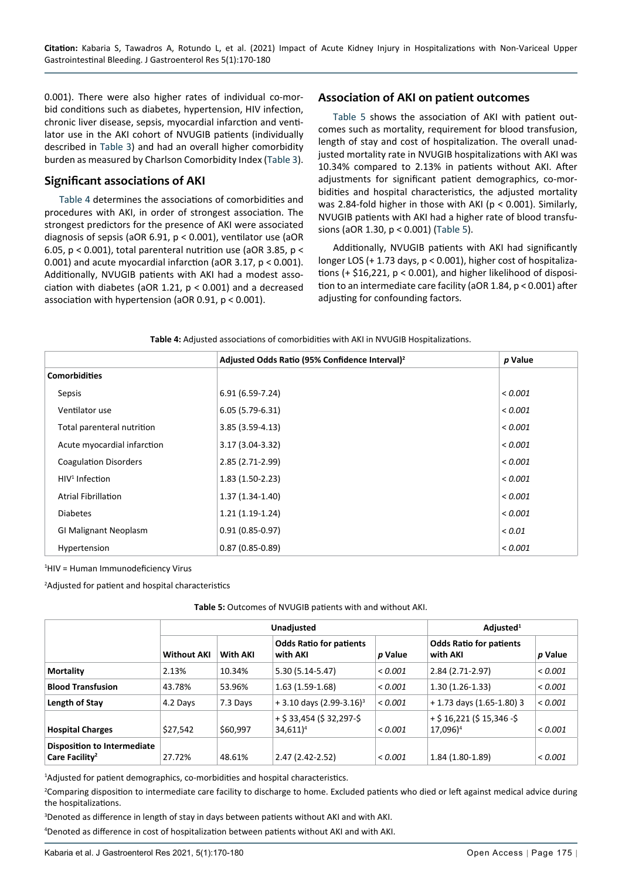0.001). There were also higher rates of individual co-morbid conditions such as diabetes, hypertension, HIV infection, chronic liver disease, sepsis, myocardial infarction and ventilator use in the AKI cohort of NVUGIB patients (individually described in [Table 3](#page-4-0)) and had an overall higher comorbidity burden as measured by Charlson Comorbidity Index ([Table 3](#page-4-0)).

### **Significant associations of AKI**

[Table 4](#page-5-1) determines the associations of comorbidities and procedures with AKI, in order of strongest association. The strongest predictors for the presence of AKI were associated diagnosis of sepsis (aOR 6.91, p < 0.001), ventilator use (aOR 6.05, p < 0.001), total parenteral nutrition use (aOR 3.85, p < 0.001) and acute myocardial infarction (aOR 3.17, p < 0.001). Additionally, NVUGIB patients with AKI had a modest association with diabetes (aOR 1.21, p < 0.001) and a decreased association with hypertension (aOR 0.91, p < 0.001).

## **Association of AKI on patient outcomes**

[Table 5](#page-5-0) shows the association of AKI with patient outcomes such as mortality, requirement for blood transfusion, length of stay and cost of hospitalization. The overall unadjusted mortality rate in NVUGIB hospitalizations with AKI was 10.34% compared to 2.13% in patients without AKI. After adjustments for significant patient demographics, co-morbidities and hospital characteristics, the adjusted mortality was 2.84-fold higher in those with AKI (p < 0.001). Similarly, NVUGIB patients with AKI had a higher rate of blood transfusions (aOR 1.30, p < 0.001) ([Table 5](#page-5-0)).

Additionally, NVUGIB patients with AKI had significantly longer LOS (+ 1.73 days, p < 0.001), higher cost of hospitalizations (+ \$16,221, p < 0.001), and higher likelihood of disposition to an intermediate care facility (aOR 1.84, p < 0.001) after adjusting for confounding factors.

<span id="page-5-1"></span>

|  |  | Table 4: Adjusted associations of comorbidities with AKI in NVUGIB Hospitalizations. |
|--|--|--------------------------------------------------------------------------------------|
|  |  |                                                                                      |

|                              | Adjusted Odds Ratio (95% Confidence Interval) <sup>2</sup> | p Value |
|------------------------------|------------------------------------------------------------|---------|
| <b>Comorbidities</b>         |                                                            |         |
| Sepsis                       | 6.91 (6.59-7.24)                                           | < 0.001 |
| Ventilator use               | $6.05(5.79-6.31)$                                          | < 0.001 |
| Total parenteral nutrition   | $3.85(3.59-4.13)$                                          | < 0.001 |
| Acute myocardial infarction  | $3.17(3.04-3.32)$                                          | < 0.001 |
| <b>Coagulation Disorders</b> | 2.85 (2.71-2.99)                                           | < 0.001 |
| $HIV1$ Infection             | $1.83(1.50-2.23)$                                          | < 0.001 |
| <b>Atrial Fibrillation</b>   | $1.37(1.34-1.40)$                                          | < 0.001 |
| <b>Diabetes</b>              | $1.21(1.19-1.24)$                                          | < 0.001 |
| <b>GI Malignant Neoplasm</b> | $0.91(0.85 - 0.97)$                                        | < 0.01  |
| Hypertension                 | $0.87(0.85 - 0.89)$                                        | < 0.001 |

1 HIV = Human Immunodeficiency Virus

2 Adjusted for patient and hospital characteristics

#### <span id="page-5-0"></span>**Table 5:** Outcomes of NVUGIB patients with and without AKI.

|                                                                  | <b>Unadjusted</b>  |          |                                            | Adjusted <sup>1</sup> |                                                      |         |
|------------------------------------------------------------------|--------------------|----------|--------------------------------------------|-----------------------|------------------------------------------------------|---------|
|                                                                  | <b>Without AKI</b> | With AKI | <b>Odds Ratio for patients</b><br>with AKI | p Value               | <b>Odds Ratio for patients</b><br>with AKI           | p Value |
| <b>Mortality</b>                                                 | 2.13%              | 10.34%   | $5.30(5.14-5.47)$                          | < 0.001               | $2.84(2.71-2.97)$                                    | < 0.001 |
| <b>Blood Transfusion</b>                                         | 43.78%             | 53.96%   | $1.63(1.59-1.68)$                          | < 0.001               | $1.30(1.26-1.33)$                                    | < 0.001 |
| Length of Stay                                                   | 4.2 Days           | 7.3 Days | $+3.10$ days (2.99-3.16) <sup>3</sup>      | 0.001                 | + 1.73 days (1.65-1.80) 3                            | < 0.001 |
| <b>Hospital Charges</b>                                          | \$27,542           | \$60,997 | $+$ \$ 33,454 (\$ 32,297-\$<br>$34,611)^4$ | < 0.001               | $+$ \$ 16,221 (\$ 15,346 -\$<br>17,096) <sup>4</sup> | < 0.001 |
| <b>Disposition to Intermediate</b><br>Care Facility <sup>2</sup> | 27.72%             | 48.61%   | $2.47(2.42 - 2.52)$                        | 0.001                 | $1.84(1.80-1.89)$                                    | 0.001   |

<sup>1</sup>Adjusted for patient demographics, co-morbidities and hospital characteristics.

2 Comparing disposition to intermediate care facility to discharge to home. Excluded patients who died or left against medical advice during the hospitalizations.

3 Denoted as difference in length of stay in days between patients without AKI and with AKI. 4 Denoted as difference in cost of hospitalization between patients without AKI and with AKI.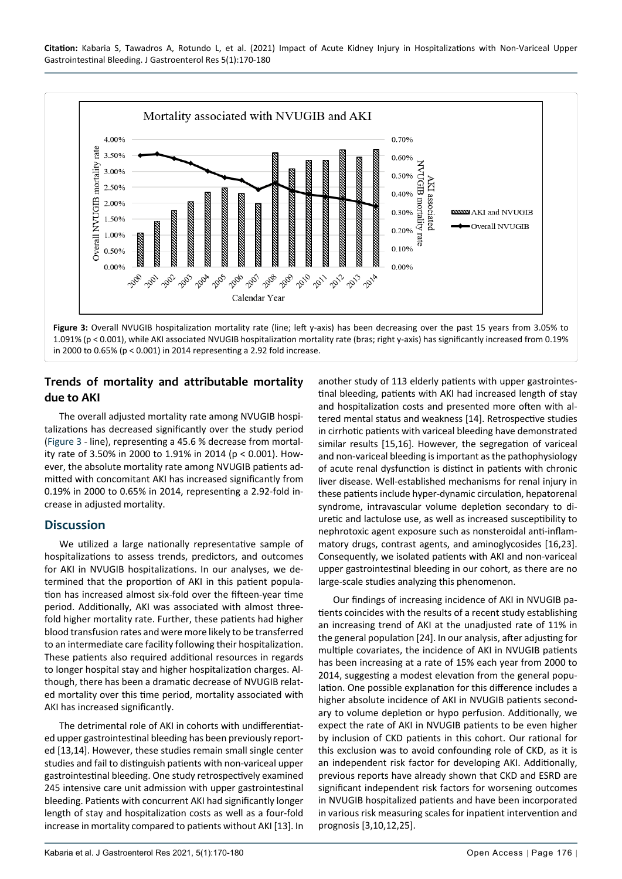<span id="page-6-0"></span>

**Trends of mortality and attributable mortality due to AKI**

The overall adjusted mortality rate among NVUGIB hospitalizations has decreased significantly over the study period ([Figure 3](#page-6-0) - line), representing a 45.6 % decrease from mortality rate of 3.50% in 2000 to 1.91% in 2014 (p < 0.001). However, the absolute mortality rate among NVUGIB patients admitted with concomitant AKI has increased significantly from 0.19% in 2000 to 0.65% in 2014, representing a 2.92-fold increase in adjusted mortality.

## **Discussion**

We utilized a large nationally representative sample of hospitalizations to assess trends, predictors, and outcomes for AKI in NVUGIB hospitalizations. In our analyses, we determined that the proportion of AKI in this patient population has increased almost six-fold over the fifteen-year time period. Additionally, AKI was associated with almost threefold higher mortality rate. Further, these patients had higher blood transfusion rates and were more likely to be transferred to an intermediate care facility following their hospitalization. These patients also required additional resources in regards to longer hospital stay and higher hospitalization charges. Although, there has been a dramatic decrease of NVUGIB related mortality over this time period, mortality associated with AKI has increased significantly.

The detrimental role of AKI in cohorts with undifferentiated upper gastrointestinal bleeding has been previously reported [13,14]. However, these studies remain small single center studies and fail to distinguish patients with non-variceal upper gastrointestinal bleeding. One study retrospectively examined 245 intensive care unit admission with upper gastrointestinal bleeding. Patients with concurrent AKI had significantly longer length of stay and hospitalization costs as well as a four-fold increase in mortality compared to patients without AKI [13]. In

another study of 113 elderly patients with upper gastrointestinal bleeding, patients with AKI had increased length of stay and hospitalization costs and presented more often with altered mental status and weakness [14]. Retrospective studies in cirrhotic patients with variceal bleeding have demonstrated similar results [15,16]. However, the segregation of variceal and non-variceal bleeding is important as the pathophysiology of acute renal dysfunction is distinct in patients with chronic liver disease. Well-established mechanisms for renal injury in these patients include hyper-dynamic circulation, hepatorenal syndrome, intravascular volume depletion secondary to diuretic and lactulose use, as well as increased susceptibility to nephrotoxic agent exposure such as nonsteroidal anti-inflammatory drugs, contrast agents, and aminoglycosides [16,23]. Consequently, we isolated patients with AKI and non-variceal upper gastrointestinal bleeding in our cohort, as there are no large-scale studies analyzing this phenomenon.

Our findings of increasing incidence of AKI in NVUGIB patients coincides with the results of a recent study establishing an increasing trend of AKI at the unadjusted rate of 11% in the general population [24]. In our analysis, after adjusting for multiple covariates, the incidence of AKI in NVUGIB patients has been increasing at a rate of 15% each year from 2000 to 2014, suggesting a modest elevation from the general population. One possible explanation for this difference includes a higher absolute incidence of AKI in NVUGIB patients secondary to volume depletion or hypo perfusion. Additionally, we expect the rate of AKI in NVUGIB patients to be even higher by inclusion of CKD patients in this cohort. Our rational for this exclusion was to avoid confounding role of CKD, as it is an independent risk factor for developing AKI. Additionally, previous reports have already shown that CKD and ESRD are significant independent risk factors for worsening outcomes in NVUGIB hospitalized patients and have been incorporated in various risk measuring scales for inpatient intervention and prognosis [3,10,12,25].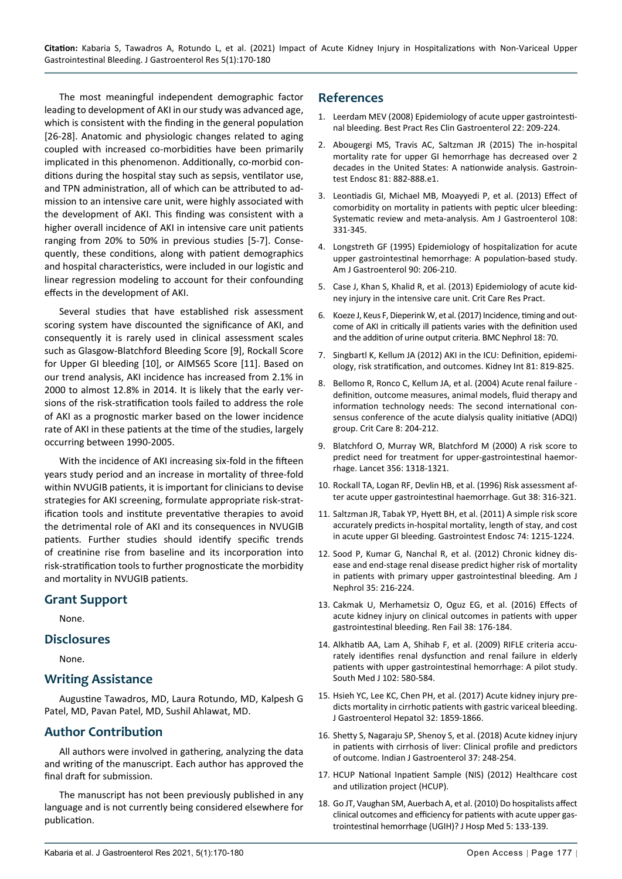The most meaningful independent demographic factor leading to development of AKI in our study was advanced age, which is consistent with the finding in the general population [26-28]. Anatomic and physiologic changes related to aging coupled with increased co-morbidities have been primarily implicated in this phenomenon. Additionally, co-morbid conditions during the hospital stay such as sepsis, ventilator use, and TPN administration, all of which can be attributed to admission to an intensive care unit, were highly associated with the development of AKI. This finding was consistent with a higher overall incidence of AKI in intensive care unit patients ranging from 20% to 50% in previous studies [5-7]. Consequently, these conditions, along with patient demographics and hospital characteristics, were included in our logistic and linear regression modeling to account for their confounding effects in the development of AKI.

Several studies that have established risk assessment scoring system have discounted the significance of AKI, and consequently it is rarely used in clinical assessment scales such as Glasgow-Blatchford Bleeding Score [9], Rockall Score for Upper GI bleeding [10], or AIMS65 Score [11]. Based on our trend analysis, AKI incidence has increased from 2.1% in 2000 to almost 12.8% in 2014. It is likely that the early versions of the risk-stratification tools failed to address the role of AKI as a prognostic marker based on the lower incidence rate of AKI in these patients at the time of the studies, largely occurring between 1990-2005.

With the incidence of AKI increasing six-fold in the fifteen years study period and an increase in mortality of three-fold within NVUGIB patients, it is important for clinicians to devise strategies for AKI screening, formulate appropriate risk-stratification tools and institute preventative therapies to avoid the detrimental role of AKI and its consequences in NVUGIB patients. Further studies should identify specific trends of creatinine rise from baseline and its incorporation into risk-stratification tools to further prognosticate the morbidity and mortality in NVUGIB patients.

## **Grant Support**

None.

#### **Disclosures**

None.

## **Writing Assistance**

Augustine Tawadros, MD, Laura Rotundo, MD, Kalpesh G Patel, MD, Pavan Patel, MD, Sushil Ahlawat, MD.

## **Author Contribution**

All authors were involved in gathering, analyzing the data and writing of the manuscript. Each author has approved the final draft for submission.

The manuscript has not been previously published in any language and is not currently being considered elsewhere for publication.

## **References**

- 1. [Leerdam MEV \(2008\) Epidemiology of acute upper gastrointesti](https://pubmed.ncbi.nlm.nih.gov/18346679/)[nal bleeding. Best Pract Res Clin Gastroenterol 22: 209-224.](https://pubmed.ncbi.nlm.nih.gov/18346679/)
- 2. [Abougergi MS, Travis AC, Saltzman JR \(2015\) The in-hospital](https://pubmed.ncbi.nlm.nih.gov/25484324/)  [mortality rate for upper GI hemorrhage has decreased over 2](https://pubmed.ncbi.nlm.nih.gov/25484324/)  [decades in the United States: A nationwide analysis. Gastroin](https://pubmed.ncbi.nlm.nih.gov/25484324/)[test Endosc 81: 882-888.e1.](https://pubmed.ncbi.nlm.nih.gov/25484324/)
- 3. [Leontiadis GI, Michael MB, Moayyedi P, et al. \(2013\) Effect of](https://pubmed.ncbi.nlm.nih.gov/23381016/)  [comorbidity on mortality in patients with peptic ulcer bleeding:](https://pubmed.ncbi.nlm.nih.gov/23381016/)  [Systematic review and meta-analysis. Am J Gastroenterol 108:](https://pubmed.ncbi.nlm.nih.gov/23381016/)  [331-345.](https://pubmed.ncbi.nlm.nih.gov/23381016/)
- 4. [Longstreth GF \(1995\) Epidemiology of hospitalization for acute](https://pubmed.ncbi.nlm.nih.gov/7847286/)  [upper gastrointestinal hemorrhage: A population-based study.](https://pubmed.ncbi.nlm.nih.gov/7847286/)  [Am J Gastroenterol 90: 206-210.](https://pubmed.ncbi.nlm.nih.gov/7847286/)
- 5. [Case J, Khan S, Khalid R, et al. \(2013\) Epidemiology of acute kid](https://pubmed.ncbi.nlm.nih.gov/23573420/)[ney injury in the intensive care unit. Crit Care Res Pract.](https://pubmed.ncbi.nlm.nih.gov/23573420/)
- 6. [Koeze J, Keus F, Dieperink W, et al. \(2017\) Incidence, timing and out](https://www.ncbi.nlm.nih.gov/pmc/articles/PMC5319106/)[come of AKI in critically ill patients varies with the definition used](https://www.ncbi.nlm.nih.gov/pmc/articles/PMC5319106/)  [and the addition of urine output criteria. BMC Nephrol 18: 70.](https://www.ncbi.nlm.nih.gov/pmc/articles/PMC5319106/)
- 7. [Singbartl K, Kellum JA \(2012\) AKI in the ICU: Definition, epidemi](https://pubmed.ncbi.nlm.nih.gov/21975865/)[ology, risk stratification, and outcomes. Kidney Int 81: 819-825.](https://pubmed.ncbi.nlm.nih.gov/21975865/)
- 8. [Bellomo R, Ronco C, Kellum JA, et al. \(2004\) Acute renal failure](https://pubmed.ncbi.nlm.nih.gov/15312219/)  [definition, outcome measures, animal models, fluid therapy and](https://pubmed.ncbi.nlm.nih.gov/15312219/)  [information technology needs: The second international con](https://pubmed.ncbi.nlm.nih.gov/15312219/)[sensus conference of the acute dialysis quality initiative \(ADQI\)](https://pubmed.ncbi.nlm.nih.gov/15312219/)  [group. Crit Care 8: 204-212.](https://pubmed.ncbi.nlm.nih.gov/15312219/)
- 9. [Blatchford O, Murray WR, Blatchford M \(2000\) A risk score to](https://pubmed.ncbi.nlm.nih.gov/11073021/)  [predict need for treatment for upper-gastrointestinal haemor](https://pubmed.ncbi.nlm.nih.gov/11073021/)[rhage. Lancet 356: 1318-1321.](https://pubmed.ncbi.nlm.nih.gov/11073021/)
- 10. [Rockall TA, Logan RF, Devlin HB, et al. \(1996\) Risk assessment af](https://www.ncbi.nlm.nih.gov/pmc/articles/PMC1383057/)[ter acute upper gastrointestinal haemorrhage. Gut 38: 316-321.](https://www.ncbi.nlm.nih.gov/pmc/articles/PMC1383057/)
- 11. [Saltzman JR, Tabak YP, Hyett BH, et al. \(2011\) A simple risk score](https://pubmed.ncbi.nlm.nih.gov/21907980/)  [accurately predicts in-hospital mortality, length of stay, and cost](https://pubmed.ncbi.nlm.nih.gov/21907980/)  [in acute upper GI bleeding. Gastrointest Endosc 74: 1215-1224.](https://pubmed.ncbi.nlm.nih.gov/21907980/)
- 12. [Sood P, Kumar G, Nanchal R, et al. \(2012\) Chronic kidney dis](https://pubmed.ncbi.nlm.nih.gov/22310659/)[ease and end-stage renal disease predict higher risk of mortality](https://pubmed.ncbi.nlm.nih.gov/22310659/)  [in patients with primary upper gastrointestinal bleeding. Am J](https://pubmed.ncbi.nlm.nih.gov/22310659/)  [Nephrol 35: 216-224.](https://pubmed.ncbi.nlm.nih.gov/22310659/)
- 13. [Cakmak U, Merhametsiz O, Oguz EG, et al. \(2016\) Effects of](https://pubmed.ncbi.nlm.nih.gov/26627631/)  [acute kidney injury on clinical outcomes in patients with upper](https://pubmed.ncbi.nlm.nih.gov/26627631/)  [gastrointestinal bleeding. Ren Fail 38: 176-184.](https://pubmed.ncbi.nlm.nih.gov/26627631/)
- 14. [Alkhatib AA, Lam A, Shihab F, et al. \(2009\) RIFLE criteria accu](https://pubmed.ncbi.nlm.nih.gov/19434015/)[rately identifies renal dysfunction and renal failure in elderly](https://pubmed.ncbi.nlm.nih.gov/19434015/)  [patients with upper gastrointestinal hemorrhage: A pilot study.](https://pubmed.ncbi.nlm.nih.gov/19434015/)  [South Med J 102: 580-584.](https://pubmed.ncbi.nlm.nih.gov/19434015/)
- 15. [Hsieh YC, Lee KC, Chen PH, et al. \(2017\) Acute kidney injury pre](https://pubmed.ncbi.nlm.nih.gov/28271564/)[dicts mortality in cirrhotic patients with gastric variceal bleeding.](https://pubmed.ncbi.nlm.nih.gov/28271564/)  [J Gastroenterol Hepatol 32: 1859-1866.](https://pubmed.ncbi.nlm.nih.gov/28271564/)
- 16. [Shetty S, Nagaraju SP, Shenoy S, et al. \(2018\) Acute kidney injury](https://pubmed.ncbi.nlm.nih.gov/30014435/)  [in patients with cirrhosis of liver: Clinical profile and predictors](https://pubmed.ncbi.nlm.nih.gov/30014435/)  [of outcome. Indian J Gastroenterol 37: 248-254.](https://pubmed.ncbi.nlm.nih.gov/30014435/)
- 17. [HCUP National Inpatient Sample \(NIS\) \(2012\) Healthcare cost](https://www.hcup-us.ahrq.gov/nisoverview.jsp)  [and utilization project \(HCUP\).](https://www.hcup-us.ahrq.gov/nisoverview.jsp)
- 18. [Go JT, Vaughan SM, Auerbach A, et al. \(2010\) Do hospitalists affect](https://pubmed.ncbi.nlm.nih.gov/20235292/)  [clinical outcomes and efficiency for patients with acute upper gas](https://pubmed.ncbi.nlm.nih.gov/20235292/)[trointestinal hemorrhage \(UGIH\)? J Hosp Med 5: 133-139.](https://pubmed.ncbi.nlm.nih.gov/20235292/)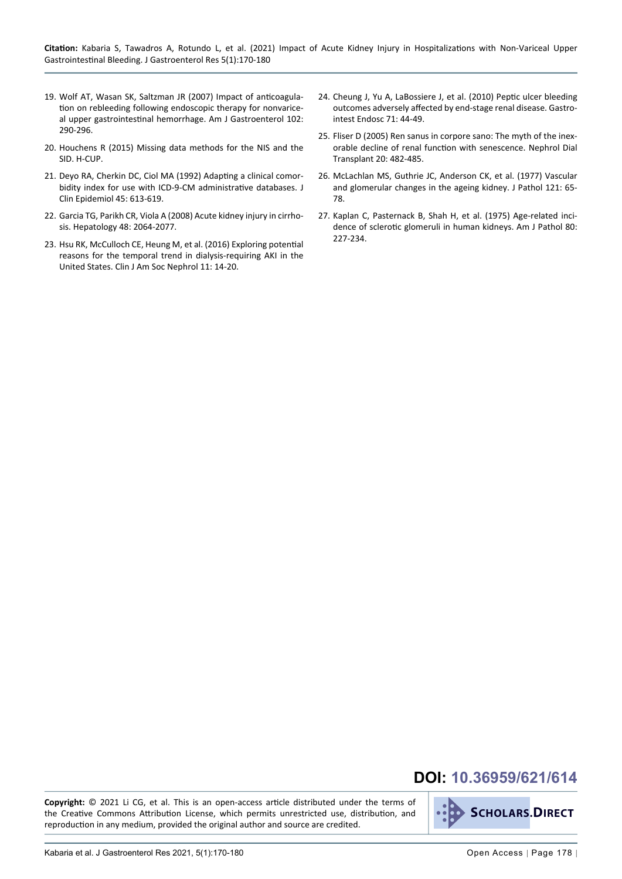- 19. [Wolf AT, Wasan SK, Saltzman JR \(2007\) Impact of anticoagula](https://pubmed.ncbi.nlm.nih.gov/17100959/)[tion on rebleeding following endoscopic therapy for nonvarice](https://pubmed.ncbi.nlm.nih.gov/17100959/)[al upper gastrointestinal hemorrhage. Am J Gastroenterol 102:](https://pubmed.ncbi.nlm.nih.gov/17100959/)  [290-296.](https://pubmed.ncbi.nlm.nih.gov/17100959/)
- 20. [Houchens R \(2015\) Missing data methods for the NIS and the](https://www.hcup-us.ahrq.gov/reports/methods/2015_01.pdf)  [SID. H-CUP.](https://www.hcup-us.ahrq.gov/reports/methods/2015_01.pdf)
- 21. [Deyo RA, Cherkin DC, Ciol MA \(1992\) Adapting a clinical comor](https://pubmed.ncbi.nlm.nih.gov/1607900/)[bidity index for use with ICD-9-CM administrative databases. J](https://pubmed.ncbi.nlm.nih.gov/1607900/)  [Clin Epidemiol 45: 613-619.](https://pubmed.ncbi.nlm.nih.gov/1607900/)
- 22. [Garcia TG, Parikh CR, Viola A \(2008\) Acute kidney injury in cirrho](https://pubmed.ncbi.nlm.nih.gov/19003880/)[sis. Hepatology 48: 2064-2077.](https://pubmed.ncbi.nlm.nih.gov/19003880/)
- 23. [Hsu RK, McCulloch CE, Heung M, et al. \(2016\) Exploring potential](https://pubmed.ncbi.nlm.nih.gov/26683890/)  [reasons for the temporal trend in dialysis-requiring AKI in the](https://pubmed.ncbi.nlm.nih.gov/26683890/)  [United States. Clin J Am Soc Nephrol 11: 14-20.](https://pubmed.ncbi.nlm.nih.gov/26683890/)
- 24. [Cheung J, Yu A, LaBossiere J, et al. \(2010\) Peptic ulcer bleeding](https://pubmed.ncbi.nlm.nih.gov/19595311/)  [outcomes adversely affected by end-stage renal disease. Gastro](https://pubmed.ncbi.nlm.nih.gov/19595311/)[intest Endosc 71: 44-49.](https://pubmed.ncbi.nlm.nih.gov/19595311/)
- 25. [Fliser D \(2005\) Ren sanus in corpore sano: The myth of the inex](https://pubmed.ncbi.nlm.nih.gov/15735239/)[orable decline of renal function with senescence. Nephrol Dial](https://pubmed.ncbi.nlm.nih.gov/15735239/)  [Transplant 20: 482-485.](https://pubmed.ncbi.nlm.nih.gov/15735239/)
- 26. [McLachlan MS, Guthrie JC, Anderson CK, et al. \(1977\) Vascular](https://pubmed.ncbi.nlm.nih.gov/874633/)  [and glomerular changes in the ageing kidney. J Pathol 121: 65-](https://pubmed.ncbi.nlm.nih.gov/874633/) [78.](https://pubmed.ncbi.nlm.nih.gov/874633/)
- 27. [Kaplan C, Pasternack B, Shah H, et al. \(1975\) Age-related inci](https://www.ncbi.nlm.nih.gov/pmc/articles/PMC1912918/)[dence of sclerotic glomeruli in human kidneys. Am J Pathol 80:](https://www.ncbi.nlm.nih.gov/pmc/articles/PMC1912918/)  [227-234.](https://www.ncbi.nlm.nih.gov/pmc/articles/PMC1912918/)

## **DOI: 10.36959/621/614**

**Copyright:** © 2021 Li CG, et al. This is an open-access article distributed under the terms of the Creative Commons Attribution License, which permits unrestricted use, distribution, and reproduction in any medium, provided the original author and source are credited.

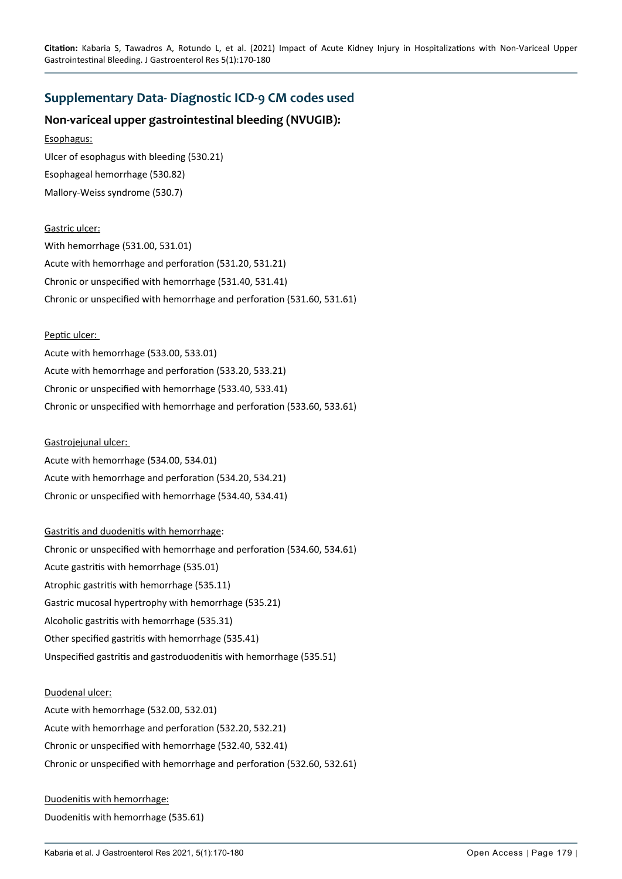## <span id="page-9-0"></span>**Supplementary Data- Diagnostic ICD-9 CM codes used**

## **Non-variceal upper gastrointestinal bleeding (NVUGIB):**

#### Esophagus:

Ulcer of esophagus with bleeding (530.21) Esophageal hemorrhage (530.82) Mallory-Weiss syndrome (530.7)

#### Gastric ulcer:

With hemorrhage (531.00, 531.01) Acute with hemorrhage and perforation (531.20, 531.21) Chronic or unspecified with hemorrhage (531.40, 531.41) Chronic or unspecified with hemorrhage and perforation (531.60, 531.61)

#### Peptic ulcer:

Acute with hemorrhage (533.00, 533.01) Acute with hemorrhage and perforation (533.20, 533.21) Chronic or unspecified with hemorrhage (533.40, 533.41) Chronic or unspecified with hemorrhage and perforation (533.60, 533.61)

#### Gastrojejunal ulcer:

Acute with hemorrhage (534.00, 534.01) Acute with hemorrhage and perforation (534.20, 534.21) Chronic or unspecified with hemorrhage (534.40, 534.41)

#### Gastritis and duodenitis with hemorrhage:

Chronic or unspecified with hemorrhage and perforation (534.60, 534.61) Acute gastritis with hemorrhage (535.01) Atrophic gastritis with hemorrhage (535.11) Gastric mucosal hypertrophy with hemorrhage (535.21) Alcoholic gastritis with hemorrhage (535.31) Other specified gastritis with hemorrhage (535.41) Unspecified gastritis and gastroduodenitis with hemorrhage (535.51)

#### Duodenal ulcer:

Acute with hemorrhage (532.00, 532.01) Acute with hemorrhage and perforation (532.20, 532.21) Chronic or unspecified with hemorrhage (532.40, 532.41) Chronic or unspecified with hemorrhage and perforation (532.60, 532.61)

## Duodenitis with hemorrhage: Duodenitis with hemorrhage (535.61)